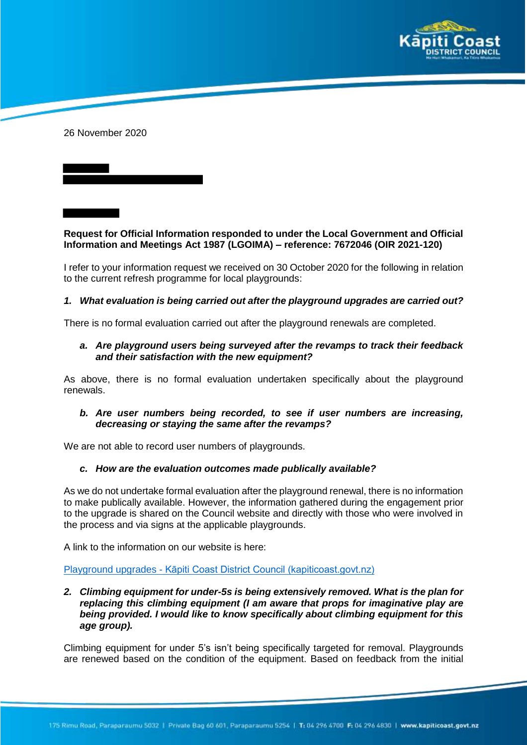

26 November 2020

# **Request for Official Information responded to under the Local Government and Official Information and Meetings Act 1987 (LGOIMA) – reference: 7672046 (OIR 2021-120)**

I refer to your information request we received on 30 October 2020 for the following in relation to the current refresh programme for local playgrounds:

## *1. What evaluation is being carried out after the playground upgrades are carried out?*

There is no formal evaluation carried out after the playground renewals are completed.

## *a. Are playground users being surveyed after the revamps to track their feedback and their satisfaction with the new equipment?*

As above, there is no formal evaluation undertaken specifically about the playground renewals.

## *b. Are user numbers being recorded, to see if user numbers are increasing, decreasing or staying the same after the revamps?*

We are not able to record user numbers of playgrounds.

## *c. How are the evaluation outcomes made publically available?*

As we do not undertake formal evaluation after the playground renewal, there is no information to make publically available. However, the information gathered during the engagement prior to the upgrade is shared on the Council website and directly with those who were involved in the process and via signs at the applicable playgrounds.

A link to the information on our website is here:

### Playground upgrades - Kāpiti Coast District Council (kapiticoast.govt.nz)

*2. Climbing equipment for under-5s is being extensively removed. What is the plan for replacing this climbing equipment (I am aware that props for imaginative play are being provided. I would like to know specifically about climbing equipment for this age group).*

Climbing equipment for under 5's isn't being specifically targeted for removal. Playgrounds are renewed based on the condition of the equipment. Based on feedback from the initial